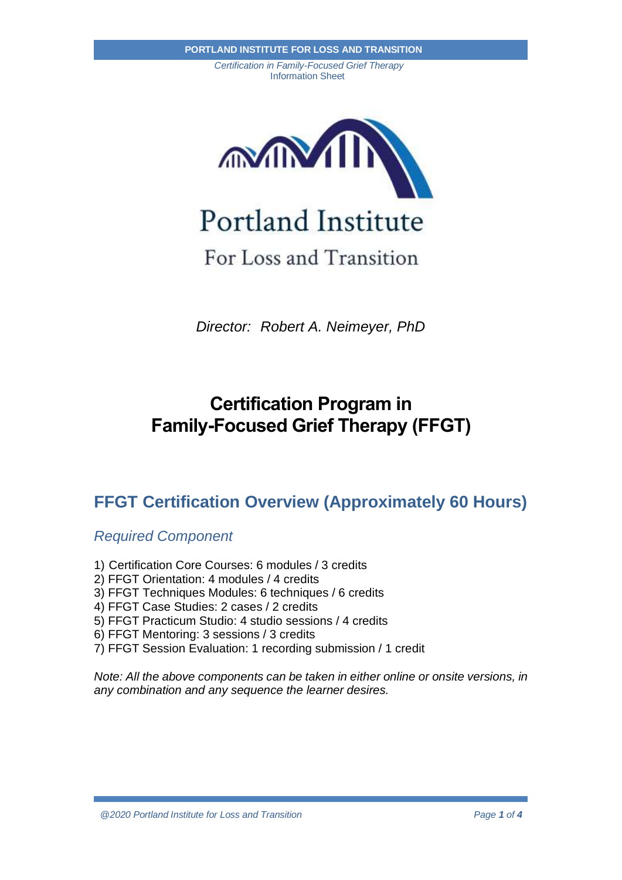

# For Loss and Transition

*Director: Robert A. Neimeyer, PhD*

# **Certification Program in Family-Focused Grief Therapy (FFGT)**

## **FFGT Certification Overview (Approximately 60 Hours)**

*Required Component*

- 1) Certification Core Courses: 6 modules / 3 credits
- 2) FFGT Orientation: 4 modules / 4 credits
- 3) FFGT Techniques Modules: 6 techniques / 6 credits
- 4) FFGT Case Studies: 2 cases / 2 credits
- 5) FFGT Practicum Studio: 4 studio sessions / 4 credits
- 6) FFGT Mentoring: 3 sessions / 3 credits
- 7) FFGT Session Evaluation: 1 recording submission / 1 credit

*Note: All the above components can be taken in either online or onsite versions, in any combination and any sequence the learner desires.*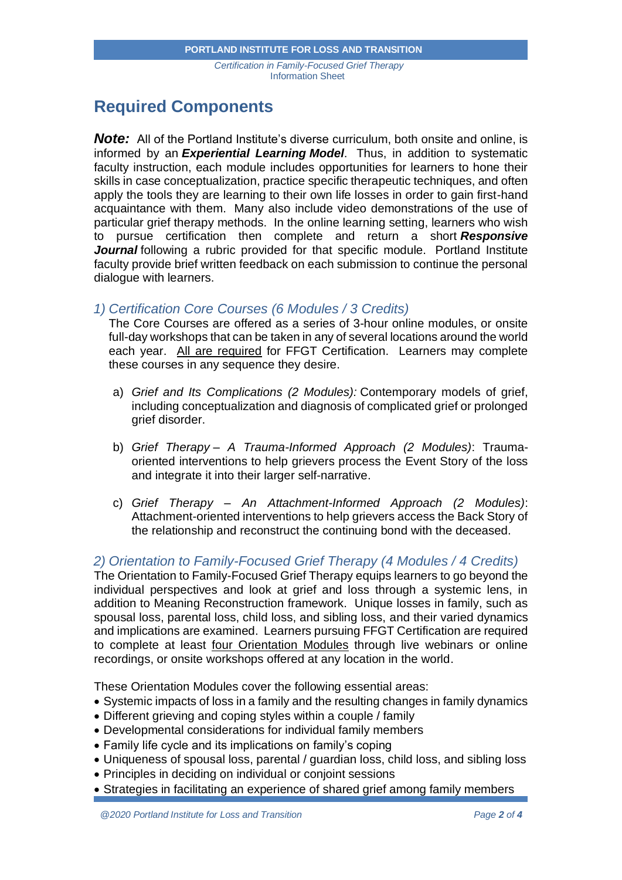## **Required Components**

**Note:** All of the Portland Institute's diverse curriculum, both onsite and online, is informed by an *Experiential Learning Model*. Thus, in addition to systematic faculty instruction, each module includes opportunities for learners to hone their skills in case conceptualization, practice specific therapeutic techniques, and often apply the tools they are learning to their own life losses in order to gain first-hand acquaintance with them. Many also include video demonstrations of the use of particular grief therapy methods. In the online learning setting, learners who wish to pursue certification then complete and return a short *Responsive Journal* following a rubric provided for that specific module. Portland Institute faculty provide brief written feedback on each submission to continue the personal dialogue with learners.

#### *1) Certification Core Courses (6 Modules / 3 Credits)*

The Core Courses are offered as a series of 3-hour online modules, or onsite full-day workshops that can be taken in any of several locations around the world each year. All are required for FFGT Certification. Learners may complete these courses in any sequence they desire.

- a) *Grief and Its Complications (2 Modules):* Contemporary models of grief, including conceptualization and diagnosis of complicated grief or prolonged grief disorder.
- b) *Grief Therapy – A Trauma-Informed Approach (2 Modules)*: Traumaoriented interventions to help grievers process the Event Story of the loss and integrate it into their larger self-narrative.
- c) *Grief Therapy – An Attachment-Informed Approach (2 Modules)*: Attachment-oriented interventions to help grievers access the Back Story of the relationship and reconstruct the continuing bond with the deceased.

### *2) Orientation to Family-Focused Grief Therapy (4 Modules / 4 Credits)*

The Orientation to Family-Focused Grief Therapy equips learners to go beyond the individual perspectives and look at grief and loss through a systemic lens, in addition to Meaning Reconstruction framework. Unique losses in family, such as spousal loss, parental loss, child loss, and sibling loss, and their varied dynamics and implications are examined. Learners pursuing FFGT Certification are required to complete at least four Orientation Modules through live webinars or online recordings, or onsite workshops offered at any location in the world.

These Orientation Modules cover the following essential areas:

- Systemic impacts of loss in a family and the resulting changes in family dynamics
- Different grieving and coping styles within a couple / family
- Developmental considerations for individual family members
- Family life cycle and its implications on family's coping
- Uniqueness of spousal loss, parental / guardian loss, child loss, and sibling loss
- Principles in deciding on individual or conjoint sessions
- Strategies in facilitating an experience of shared grief among family members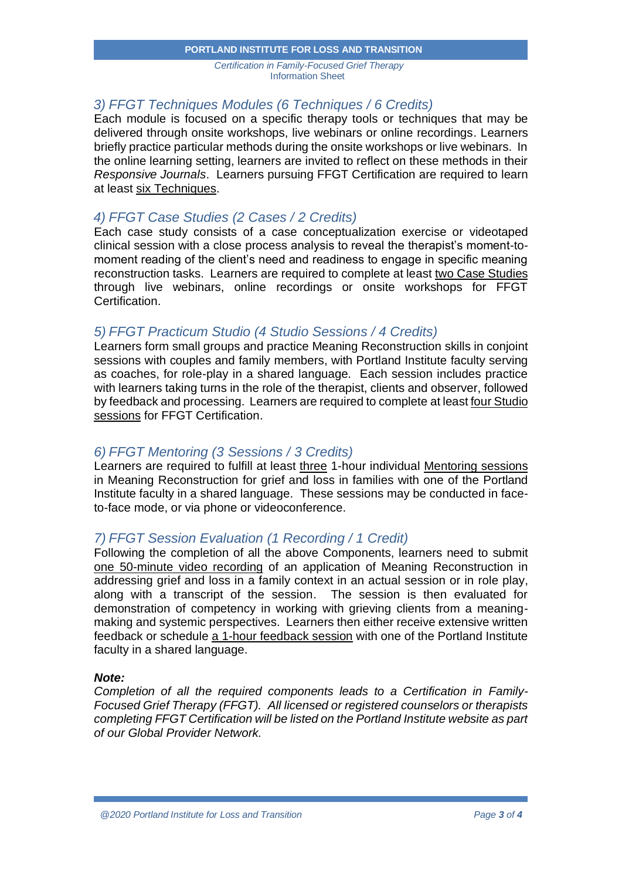#### **PORTLAND INSTITUTE FOR LOSS AND TRANSITION**

*Certification in Family-Focused Grief Therapy* Information Sheet

### *3) FFGT Techniques Modules (6 Techniques / 6 Credits)*

Each module is focused on a specific therapy tools or techniques that may be delivered through onsite workshops, live webinars or online recordings. Learners briefly practice particular methods during the onsite workshops or live webinars. In the online learning setting, learners are invited to reflect on these methods in their *Responsive Journals*. Learners pursuing FFGT Certification are required to learn at least six Techniques.

### *4) FFGT Case Studies (2 Cases / 2 Credits)*

Each case study consists of a case conceptualization exercise or videotaped clinical session with a close process analysis to reveal the therapist's moment-tomoment reading of the client's need and readiness to engage in specific meaning reconstruction tasks. Learners are required to complete at least two Case Studies through live webinars, online recordings or onsite workshops for FFGT Certification.

#### *5) FFGT Practicum Studio (4 Studio Sessions / 4 Credits)*

Learners form small groups and practice Meaning Reconstruction skills in conjoint sessions with couples and family members, with Portland Institute faculty serving as coaches, for role-play in a shared language. Each session includes practice with learners taking turns in the role of the therapist, clients and observer, followed by feedback and processing. Learners are required to complete at least four Studio sessions for FFGT Certification.

### *6) FFGT Mentoring (3 Sessions / 3 Credits)*

Learners are required to fulfill at least three 1-hour individual Mentoring sessions in Meaning Reconstruction for grief and loss in families with one of the Portland Institute faculty in a shared language. These sessions may be conducted in faceto-face mode, or via phone or videoconference.

### *7) FFGT Session Evaluation (1 Recording / 1 Credit)*

Following the completion of all the above Components, learners need to submit one 50-minute video recording of an application of Meaning Reconstruction in addressing grief and loss in a family context in an actual session or in role play, along with a transcript of the session. The session is then evaluated for demonstration of competency in working with grieving clients from a meaningmaking and systemic perspectives. Learners then either receive extensive written feedback or schedule a 1-hour feedback session with one of the Portland Institute faculty in a shared language.

#### *Note:*

*Completion of all the required components leads to a Certification in Family-Focused Grief Therapy (FFGT). All licensed or registered counselors or therapists completing FFGT Certification will be listed on the Portland Institute website as part of our Global Provider Network.*